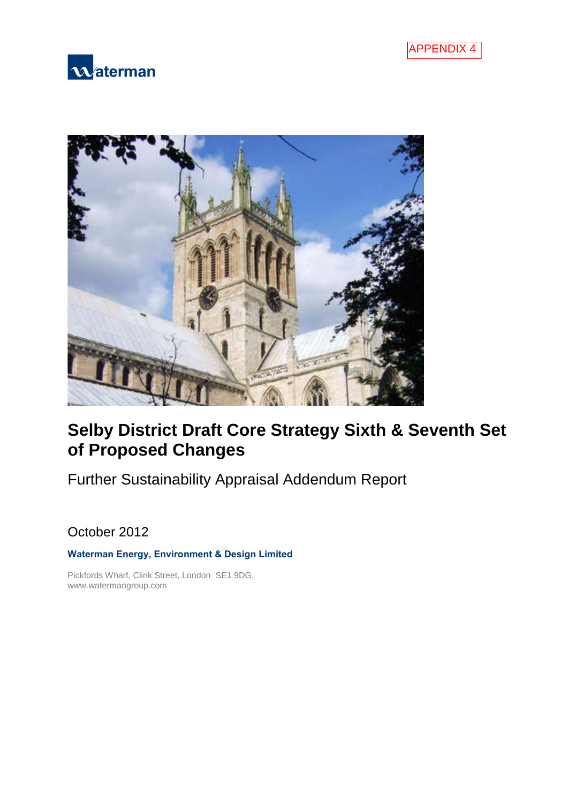





# **Selby District Draft Core Strategy Sixth & Seventh Set of Proposed Changes**

Further Sustainability Appraisal Addendum Report

October 2012

### **Waterman Energy, Environment & Design Limited**

Pickfords Wharf, Clink Street, London SE1 9DG, www.watermangroup.com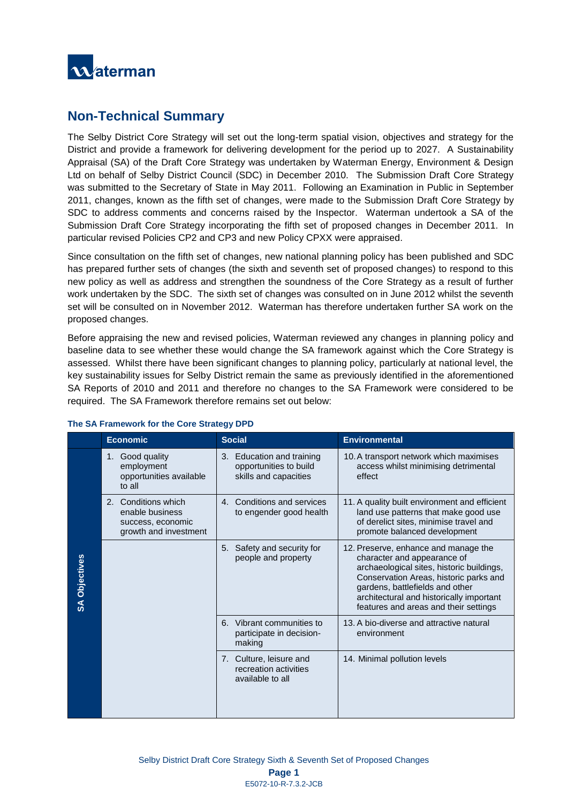

## **Non-Technical Summary**

The Selby District Core Strategy will set out the long-term spatial vision, objectives and strategy for the District and provide a framework for delivering development for the period up to 2027. A Sustainability Appraisal (SA) of the Draft Core Strategy was undertaken by Waterman Energy, Environment & Design Ltd on behalf of Selby District Council (SDC) in December 2010. The Submission Draft Core Strategy was submitted to the Secretary of State in May 2011. Following an Examination in Public in September 2011, changes, known as the fifth set of changes, were made to the Submission Draft Core Strategy by SDC to address comments and concerns raised by the Inspector. Waterman undertook a SA of the Submission Draft Core Strategy incorporating the fifth set of proposed changes in December 2011. In particular revised Policies CP2 and CP3 and new Policy CPXX were appraised.

Since consultation on the fifth set of changes, new national planning policy has been published and SDC has prepared further sets of changes (the sixth and seventh set of proposed changes) to respond to this new policy as well as address and strengthen the soundness of the Core Strategy as a result of further work undertaken by the SDC. The sixth set of changes was consulted on in June 2012 whilst the seventh set will be consulted on in November 2012. Waterman has therefore undertaken further SA work on the proposed changes.

Before appraising the new and revised policies, Waterman reviewed any changes in planning policy and baseline data to see whether these would change the SA framework against which the Core Strategy is assessed. Whilst there have been significant changes to planning policy, particularly at national level, the key sustainability issues for Selby District remain the same as previously identified in the aforementioned SA Reports of 2010 and 2011 and therefore no changes to the SA Framework were considered to be required. The SA Framework therefore remains set out below:

|                      | <b>Economic</b>                                                                                  | <b>Social</b>                                                                | <b>Environmental</b>                                                                                                                                                                                                                                                               |  |  |  |  |
|----------------------|--------------------------------------------------------------------------------------------------|------------------------------------------------------------------------------|------------------------------------------------------------------------------------------------------------------------------------------------------------------------------------------------------------------------------------------------------------------------------------|--|--|--|--|
|                      | Good quality<br>1.<br>employment<br>opportunities available<br>to all                            | 3. Education and training<br>opportunities to build<br>skills and capacities | 10. A transport network which maximises<br>access whilst minimising detrimental<br>effect                                                                                                                                                                                          |  |  |  |  |
|                      | Conditions which<br>$2^{\circ}$<br>enable business<br>success, economic<br>growth and investment | 4. Conditions and services<br>to engender good health                        | 11. A quality built environment and efficient<br>land use patterns that make good use<br>of derelict sites, minimise travel and<br>promote balanced development                                                                                                                    |  |  |  |  |
| <b>SA Objectives</b> |                                                                                                  | Safety and security for<br>5.<br>people and property                         | 12. Preserve, enhance and manage the<br>character and appearance of<br>archaeological sites, historic buildings,<br>Conservation Areas, historic parks and<br>gardens, battlefields and other<br>architectural and historically important<br>features and areas and their settings |  |  |  |  |
|                      |                                                                                                  | 6. Vibrant communities to<br>participate in decision-<br>making              | 13. A bio-diverse and attractive natural<br>environment                                                                                                                                                                                                                            |  |  |  |  |
|                      |                                                                                                  | 7. Culture, leisure and<br>recreation activities<br>available to all         | 14. Minimal pollution levels                                                                                                                                                                                                                                                       |  |  |  |  |

### **The SA Framework for the Core Strategy DPD**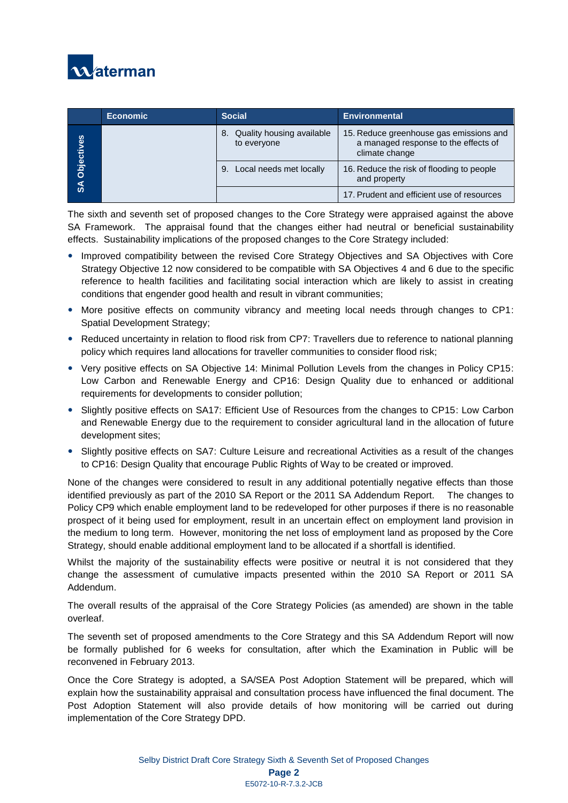

|                             | <b>Economic</b> | <b>Social</b>                               | <b>Environmental</b>                                                                              |  |  |
|-----------------------------|-----------------|---------------------------------------------|---------------------------------------------------------------------------------------------------|--|--|
| Objectives<br>$\frac{1}{2}$ |                 | 8. Quality housing available<br>to everyone | 15. Reduce greenhouse gas emissions and<br>a managed response to the effects of<br>climate change |  |  |
|                             |                 | Local needs met locally<br>9.               | 16. Reduce the risk of flooding to people<br>and property                                         |  |  |
|                             |                 |                                             | 17. Prudent and efficient use of resources                                                        |  |  |

The sixth and seventh set of proposed changes to the Core Strategy were appraised against the above SA Framework. The appraisal found that the changes either had neutral or beneficial sustainability effects. Sustainability implications of the proposed changes to the Core Strategy included:

- Improved compatibility between the revised Core Strategy Objectives and SA Objectives with Core Strategy Objective 12 now considered to be compatible with SA Objectives 4 and 6 due to the specific reference to health facilities and facilitating social interaction which are likely to assist in creating conditions that engender good health and result in vibrant communities;
- More positive effects on community vibrancy and meeting local needs through changes to CP1: Spatial Development Strategy;
- Reduced uncertainty in relation to flood risk from CP7: Travellers due to reference to national planning policy which requires land allocations for traveller communities to consider flood risk;
- Very positive effects on SA Objective 14: Minimal Pollution Levels from the changes in Policy CP15: Low Carbon and Renewable Energy and CP16: Design Quality due to enhanced or additional requirements for developments to consider pollution;
- Slightly positive effects on SA17: Efficient Use of Resources from the changes to CP15: Low Carbon and Renewable Energy due to the requirement to consider agricultural land in the allocation of future development sites;
- Slightly positive effects on SA7: Culture Leisure and recreational Activities as a result of the changes to CP16: Design Quality that encourage Public Rights of Way to be created or improved.

None of the changes were considered to result in any additional potentially negative effects than those identified previously as part of the 2010 SA Report or the 2011 SA Addendum Report. The changes to Policy CP9 which enable employment land to be redeveloped for other purposes if there is no reasonable prospect of it being used for employment, result in an uncertain effect on employment land provision in the medium to long term. However, monitoring the net loss of employment land as proposed by the Core Strategy, should enable additional employment land to be allocated if a shortfall is identified.

Whilst the majority of the sustainability effects were positive or neutral it is not considered that they change the assessment of cumulative impacts presented within the 2010 SA Report or 2011 SA Addendum.

The overall results of the appraisal of the Core Strategy Policies (as amended) are shown in the table overleaf.

The seventh set of proposed amendments to the Core Strategy and this SA Addendum Report will now be formally published for 6 weeks for consultation, after which the Examination in Public will be reconvened in February 2013.

Once the Core Strategy is adopted, a SA/SEA Post Adoption Statement will be prepared, which will explain how the sustainability appraisal and consultation process have influenced the final document. The Post Adoption Statement will also provide details of how monitoring will be carried out during implementation of the Core Strategy DPD.